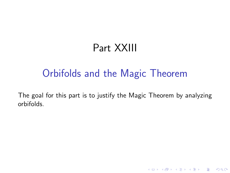# Part XXIII

## Orbifolds and the Magic Theorem

The goal for this part is to justify the Magic Theorem by analyzing orbifolds.

K ロ ▶ K @ ▶ K 할 ▶ K 할 ▶ | 할 | © 9 Q @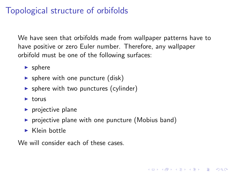## Topological structure of orbifolds

We have seen that orbifolds made from wallpaper patterns have to have positive or zero Euler number. Therefore, any wallpaper orbifold must be one of the following surfaces:

**KORKA SERKER ORA** 

- $\blacktriangleright$  sphere
- $\triangleright$  sphere with one puncture (disk)
- $\triangleright$  sphere with two punctures (cylinder)
- $\blacktriangleright$  torus
- $\blacktriangleright$  projective plane
- $\triangleright$  projective plane with one puncture (Mobius band)
- $\blacktriangleright$  Klein bottle

We will consider each of these cases.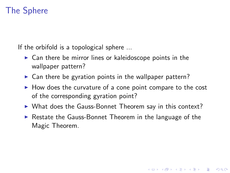### The Sphere

If the orbifold is a topological sphere ...

- $\triangleright$  Can there be mirror lines or kaleidoscope points in the wallpaper pattern?
- $\triangleright$  Can there be gyration points in the wallpaper pattern?
- $\blacktriangleright$  How does the curvature of a cone point compare to the cost of the corresponding gyration point?
- $\triangleright$  What does the Gauss-Bonnet Theorem say in this context?
- $\triangleright$  Restate the Gauss-Bonnet Theorem in the language of the Magic Theorem.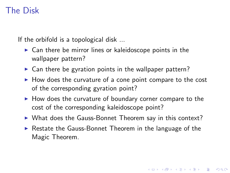## The Disk

If the orbifold is a topological disk ...

- $\triangleright$  Can there be mirror lines or kaleidoscope points in the wallpaper pattern?
- $\triangleright$  Can there be gyration points in the wallpaper pattern?
- $\blacktriangleright$  How does the curvature of a cone point compare to the cost of the corresponding gyration point?
- $\blacktriangleright$  How does the curvature of boundary corner compare to the cost of the corresponding kaleidoscope point?
- $\triangleright$  What does the Gauss-Bonnet Theorem say in this context?
- $\triangleright$  Restate the Gauss-Bonnet Theorem in the language of the Magic Theorem.

**K ロ ▶ K @ ▶ K 할 X X 할 X 및 할 X X Q Q O**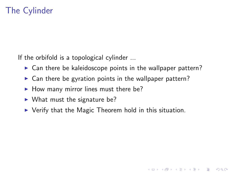## The Cylinder

If the orbifold is a topological cylinder ...

 $\triangleright$  Can there be kaleidoscope points in the wallpaper pattern?

- $\triangleright$  Can there be gyration points in the wallpaper pattern?
- $\blacktriangleright$  How many mirror lines must there be?
- $\blacktriangleright$  What must the signature be?
- $\triangleright$  Verify that the Magic Theorem hold in this situation.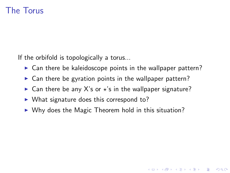#### The Torus

If the orbifold is topologically a torus...

 $\triangleright$  Can there be kaleidoscope points in the wallpaper pattern?

**K ロ ▶ K @ ▶ K 할 X X 할 X 및 할 X X Q Q O** 

- $\triangleright$  Can there be gyration points in the wallpaper pattern?
- $\triangleright$  Can there be any X's or  $\star$ 's in the wallpaper signature?
- $\triangleright$  What signature does this correspond to?
- $\triangleright$  Why does the Magic Theorem hold in this situation?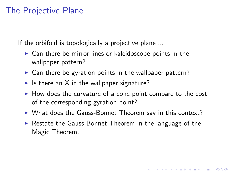#### The Projective Plane

If the orbifold is topologically a projective plane ...

- $\triangleright$  Can there be mirror lines or kaleidoscope points in the wallpaper pattern?
- $\triangleright$  Can there be gyration points in the wallpaper pattern?
- If Is there an X in the wallpaper signature?
- $\blacktriangleright$  How does the curvature of a cone point compare to the cost of the corresponding gyration point?
- $\triangleright$  What does the Gauss-Bonnet Theorem say in this context?
- $\triangleright$  Restate the Gauss-Bonnet Theorem in the language of the Magic Theorem.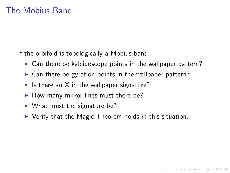If the orbifold is topologically a Mobius band ...

- $\triangleright$  Can there be kaleidoscope points in the wallpaper pattern?
- $\triangleright$  Can there be gyration points in the wallpaper pattern?
- In Its there an X in the wallpaper signature?
- $\blacktriangleright$  How many mirror lines must there be?
- $\triangleright$  What must the signature be?
- $\triangleright$  Verify that the Magic Theorem holds in this situation.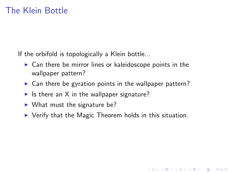If the orbifold is topologically a Klein bottle...

- $\triangleright$  Can there be mirror lines or kaleidoscope points in the wallpaper pattern?
- $\triangleright$  Can there be gyration points in the wallpaper pattern?
- If Is there an X in the wallpaper signature?
- $\blacktriangleright$  What must the signature be?
- $\triangleright$  Verify that the Magic Theorem holds in this situation.

K ロ ▶ K @ ▶ K 할 ▶ K 할 ▶ 이 할 → 9 Q @